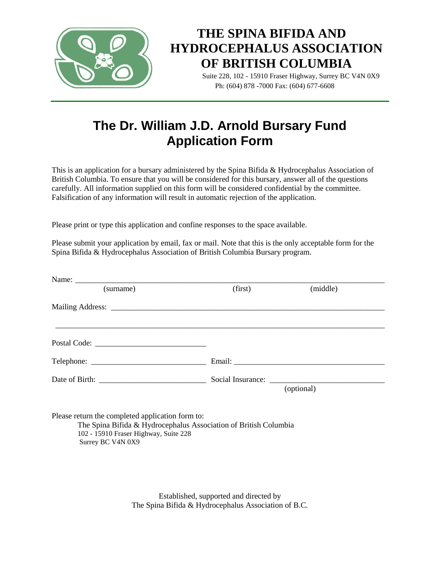

# **THE SPINA BIFIDA AND HYDROCEPHALUS ASSOCIATION OF BRITISH COLUMBIA**

 Suite 228, 102 - 15910 Fraser Highway, Surrey BC V4N 0X9 Ph: (604) 878 -7000 Fax: (604) 677-6608

## **The Dr. William J.D. Arnold Bursary Fund Application Form**

This is an application for a bursary administered by the Spina Bifida & Hydrocephalus Association of British Columbia. To ensure that you will be considered for this bursary, answer all of the questions carefully. All information supplied on this form will be considered confidential by the committee. Falsification of any information will result in automatic rejection of the application.

Please print or type this application and confine responses to the space available.

Please submit your application by email, fax or mail. Note that this is the only acceptable form for the Spina Bifida & Hydrocephalus Association of British Columbia Bursary program.

| (surname)                                                                                                                                                                          | (first) | (middle)   |
|------------------------------------------------------------------------------------------------------------------------------------------------------------------------------------|---------|------------|
|                                                                                                                                                                                    |         |            |
|                                                                                                                                                                                    |         |            |
|                                                                                                                                                                                    |         |            |
|                                                                                                                                                                                    |         |            |
|                                                                                                                                                                                    |         | (optional) |
| Please return the completed application form to:<br>The Spina Bifida & Hydrocephalus Association of British Columbia<br>102 - 15910 Fraser Highway, Suite 228<br>Surrey BC V4N 0X9 |         |            |

Established, supported and directed by The Spina Bifida & Hydrocephalus Association of B.C.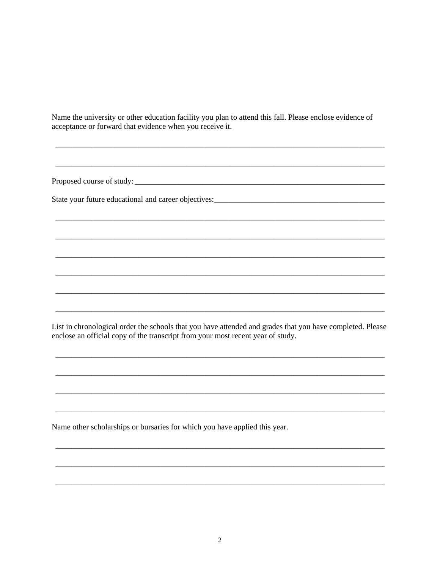Name the university or other education facility you plan to attend this fall. Please enclose evidence of acceptance or forward that evidence when you receive it.

List in chronological order the schools that you have attended and grades that you have completed. Please enclose an official copy of the transcript from your most recent year of study.

Name other scholarships or bursaries for which you have applied this year.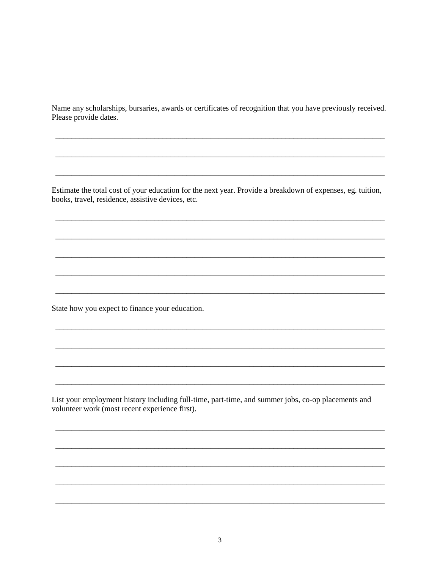Name any scholarships, bursaries, awards or certificates of recognition that you have previously received. Please provide dates.

Estimate the total cost of your education for the next year. Provide a breakdown of expenses, eg. tuition, books, travel, residence, assistive devices, etc.

State how you expect to finance your education.

List your employment history including full-time, part-time, and summer jobs, co-op placements and volunteer work (most recent experience first).